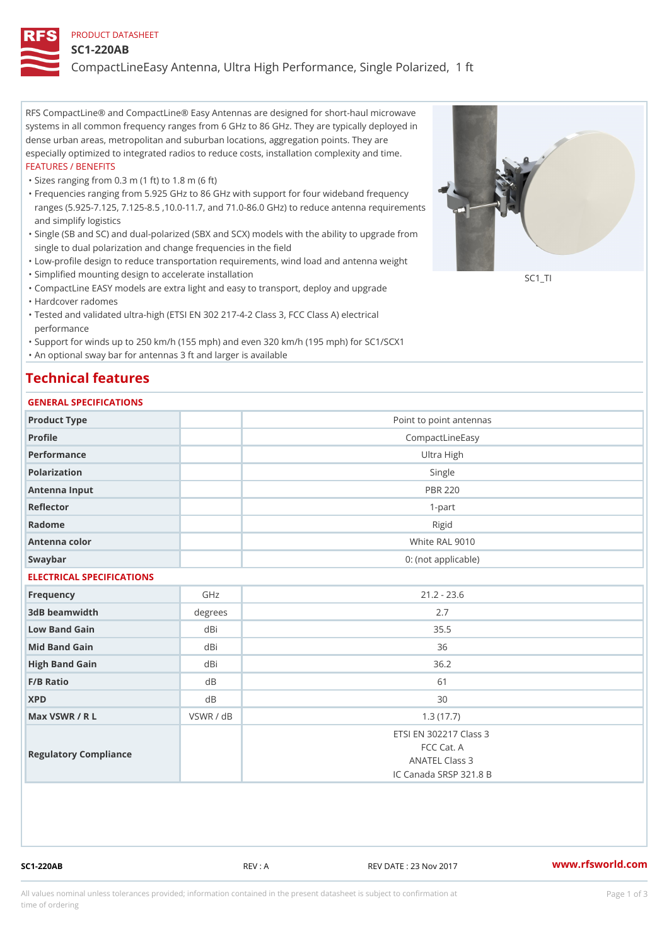#### PRODUCT DATASHEET

#### SC1-220AB

CompactLineEasy Antenna, Ultra High Performance, Single Polarized,

RFS CompactLine® and CompactLine® Easy Antennas are designed for short-haul microwave systems in all common frequency ranges from 6 GHz to 86 GHz. They are typically deployed in dense urban areas, metropolitan and suburban locations, aggregation points. They are especially optimized to integrated radios to reduce costs, installation complexity and time. FEATURES / BENEFITS

"Sizes ranging from 0.3 m (1 ft) to 1.8 m (6 ft)

- Frequencies ranging from 5.925 GHz to 86 GHz with support for four wideband frequency " ranges (5.925-7.125, 7.125-8.5 ,10.0-11.7, and 71.0-86.0 GHz) to reduce antenna requirements and simplify logistics
- Single (SB and SC) and dual-polarized (SBX and SCX) models with the ability to upgrade from " single to dual polarization and change frequencies in the field
- "Low-profile design to reduce transportation requirements, wind load and antenna weight
- "Simplified mounting design to accelerate installation

 "CompactLine EASY models are extra light and easy to transport, deploy and upgrade "Hardcover radomes

Tested and validated ultra-high (ETSI EN 302 217-4-2 Class 3, FCC Class A) electrical " performance

 "Support for winds up to 250 km/h (155 mph) and even 320 km/h (195 mph) for SC1/SCX1 "An optional sway bar for antennas 3 ft and larger is available

## Technical features

### GENERAL SPECIFICATIONS

| GENERAL SELGIFICATIONS    |                |                                                                                  |  |  |  |  |
|---------------------------|----------------|----------------------------------------------------------------------------------|--|--|--|--|
| Product Type              |                | Point to point antennas                                                          |  |  |  |  |
| Profile                   |                | CompactLineEasy                                                                  |  |  |  |  |
| Performance               | Ultra High     |                                                                                  |  |  |  |  |
| Polarization              | Single         |                                                                                  |  |  |  |  |
| Antenna Input             | <b>PBR 220</b> |                                                                                  |  |  |  |  |
| Reflector                 | $1 - p$ art    |                                                                                  |  |  |  |  |
| Radome                    |                | Rigid                                                                            |  |  |  |  |
| Antenna color             |                | White RAL 9010                                                                   |  |  |  |  |
| Swaybar                   |                | 0: (not applicable)                                                              |  |  |  |  |
| ELECTRICAL SPECIFICATIONS |                |                                                                                  |  |  |  |  |
| Frequency                 | GHz            | $21.2 - 23.6$                                                                    |  |  |  |  |
| 3dB beamwidth             | degree:        | 2.7                                                                              |  |  |  |  |
| Low Band Gain             | dBi            | 35.5                                                                             |  |  |  |  |
| Mid Band Gain             | dBi            | 36                                                                               |  |  |  |  |
| High Band Gain            | dBi            | 36.2                                                                             |  |  |  |  |
| $F/B$ Ratio               | d <sub>B</sub> | 61                                                                               |  |  |  |  |
| <b>XPD</b>                | d B            | 30                                                                               |  |  |  |  |
| Max VSWR / R L            | VSWR / dB      | 1.3(17.7)                                                                        |  |  |  |  |
| Regulatory Compliance     |                | ETSI EN 302217 Class 3<br>FCC Cat. A<br>ANATEL Class 3<br>IC Canada SRSP 321.8 B |  |  |  |  |

SC1-220AB REV : A REV DATE : 23 Nov 2017 [www.](https://www.rfsworld.com)rfsworld.com

SC<sub>1</sub>TI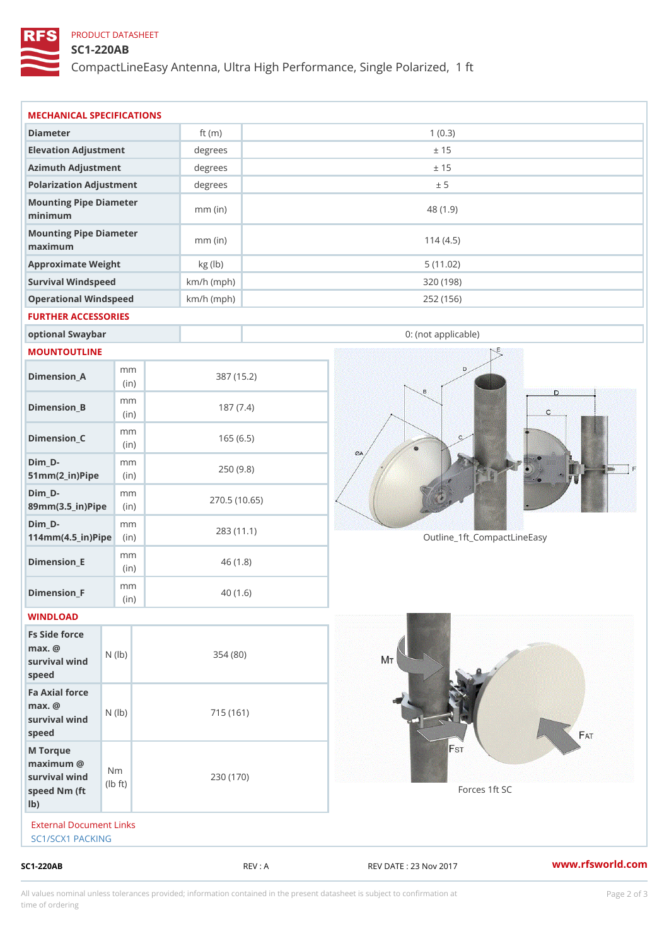## PRODUCT DATASHEET

### SC1-220AB

CompactLineEasy Antenna, Ultra High Performance, Single Polarized,

|                                                                       |                                    |                           |            |                             | www.rfsworld.co |
|-----------------------------------------------------------------------|------------------------------------|---------------------------|------------|-----------------------------|-----------------|
| External Document Links<br>SC1/SCX1 PACKING                           |                                    |                           |            |                             |                 |
| M Torque<br>$maximum$ @<br>survival wind<br>speed Nm (ft<br>$1b$ )    | N <sub>m</sub><br>$\pm t$ )<br>l b | 230 (170)                 |            | Forces 1ft SC               |                 |
| Fa Axial force<br>$max.$ @<br>survival $w \nvert N$ ( $ b$ )<br>speed |                                    | 715 (161)                 |            |                             |                 |
| Fs Side force<br>$max.$ @<br>survival wind (1b)<br>speed              |                                    | 354(80)                   |            |                             |                 |
| WINDLOAD                                                              |                                    |                           |            |                             |                 |
| Dimension_F                                                           | m m<br>(in)                        |                           | 40(1.6)    |                             |                 |
| $Dimension$ = E                                                       | m m<br>(i n)                       |                           | 46(1.8)    |                             |                 |
| $Dim_D -$<br>$114$ m m (4.5 _ ir ) $\sqrt{$ ii p $\sqrt{ }$           | m m                                | 283 (11.1)                |            | Outline_1ft_CompactLineEasy |                 |
| $Dim_D - D -$<br>89mm (3.5_in) Pi(pine)                               | m m                                | 270.5(10.65)              |            |                             |                 |
| $Dim_D - D -$<br>$51mm(2_in)Pip@in$                                   | m m                                |                           | 250(9.8)   |                             |                 |
| $Dimension_C$                                                         | m m<br>(in)                        |                           | 165(6.5)   |                             |                 |
| $Dimension_B$                                                         | m m<br>(in)                        |                           | 187(7.4)   |                             |                 |
| $Dimension_A$                                                         | m m<br>(in)                        |                           | 387 (15.2) |                             |                 |
| MOUNTOUTLINE                                                          |                                    |                           |            |                             |                 |
| optional Swaybar                                                      |                                    |                           |            | 0: (not applicable)         |                 |
| FURTHER ACCESSORIES                                                   |                                    |                           |            |                             |                 |
| Operational Windspeed                                                 |                                    | $km/h$ (mph)              |            | 252 (156)                   |                 |
| Survival Windspeed                                                    |                                    | $km/h$ (mph)              |            | 320 (198)                   |                 |
| maximum<br>Approximate Weight                                         |                                    | $mm$ (in)<br>kg (lb)      |            | 114(4.5)<br>5(11.02)        |                 |
| minimum<br>Mounting Pipe Diameter                                     |                                    | $mm$ (in)                 |            | 48 (1.9)                    |                 |
| Mounting Pipe Diameter                                                |                                    |                           |            |                             |                 |
| Polarization Adjustment                                               |                                    | degrees                   |            | ± 5                         |                 |
| Elevation Adjustment<br>Azimuth Adjustment                            |                                    | degrees<br>degrees        |            | ± 15<br>± 15                |                 |
|                                                                       |                                    | ft $(m)$                  |            |                             |                 |
| Diameter                                                              |                                    | MECHANICAL SPECIFICATIONS |            | 1(0.3)                      |                 |

All values nominal unless tolerances provided; information contained in the present datasheet is subject to Pcapgelio an atio time of ordering